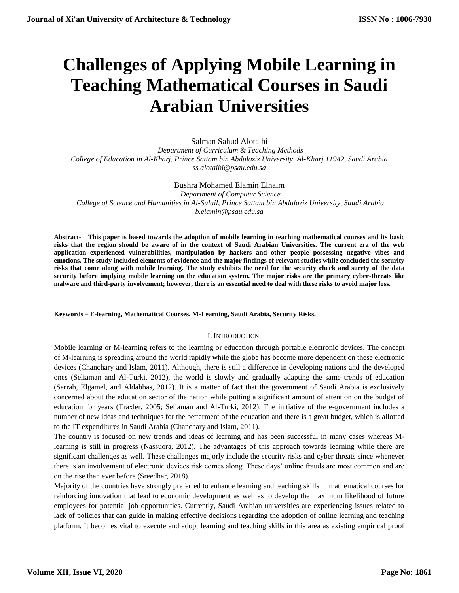# **Challenges of Applying Mobile Learning in Teaching Mathematical Courses in Saudi Arabian Universities**

Salman Sahud Alotaibi  *Department of Curriculum & Teaching Methods College of Education in Al-Kharj, Prince Sattam bin Abdulaziz University, Al-Kharj 11942, Saudi Arabia [ss.alotaibi@psau.edu.sa](mailto:ss.alotaibi@psau.edu.sa)*

Bushra Mohamed Elamin Elnaim  *Department of Computer Science College of Science and Humanities in Al-Sulail, Prince Sattam bin Abdulaziz University, Saudi Arabia b.elamin@psau.edu.sa*

**Abstract- This paper is based towards the adoption of mobile learning in teaching mathematical courses and its basic risks that the region should be aware of in the context of Saudi Arabian Universities. The current era of the web application experienced vulnerabilities, manipulation by hackers and other people possessing negative vibes and emotions. The study included elements of evidence and the major findings of relevant studies while concluded the security risks that come along with mobile learning. The study exhibits the need for the security check and surety of the data security before implying mobile learning on the education system. The major risks are the primary cyber-threats like malware and third-party involvement; however, there is an essential need to deal with these risks to avoid major loss.** 

## **Keywords – E-learning, Mathematical Courses, M-Learning, Saudi Arabia, Security Risks.**

## I. INTRODUCTION

Mobile learning or M-learning refers to the learning or education through portable electronic devices. The concept of M-learning is spreading around the world rapidly while the globe has become more dependent on these electronic devices (Chanchary and Islam, 2011). Although, there is still a difference in developing nations and the developed ones (Seliaman and Al-Turki, 2012), the world is slowly and gradually adapting the same trends of education (Sarrab, Elgamel, and Aldabbas, 2012). It is a matter of fact that the government of Saudi Arabia is exclusively concerned about the education sector of the nation while putting a significant amount of attention on the budget of education for years (Traxler, 2005; Seliaman and Al-Turki, 2012). The initiative of the e-government includes a number of new ideas and techniques for the betterment of the education and there is a great budget, which is allotted to the IT expenditures in Saudi Arabia (Chanchary and Islam, 2011).

The country is focused on new trends and ideas of learning and has been successful in many cases whereas Mlearning is still in progress (Nassuora, 2012). The advantages of this approach towards learning while there are significant challenges as well. These challenges majorly include the security risks and cyber threats since whenever there is an involvement of electronic devices risk comes along. These days' online frauds are most common and are on the rise than ever before (Sreedhar, 2018).

Majority of the countries have strongly preferred to enhance learning and teaching skills in mathematical courses for reinforcing innovation that lead to economic development as well as to develop the maximum likelihood of future employees for potential job opportunities. Currently, Saudi Arabian universities are experiencing issues related to lack of policies that can guide in making effective decisions regarding the adoption of online learning and teaching platform. It becomes vital to execute and adopt learning and teaching skills in this area as existing empirical proof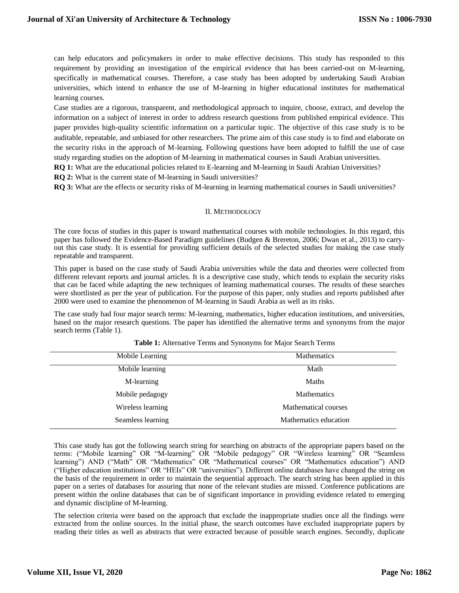can help educators and policymakers in order to make effective decisions. This study has responded to this requirement by providing an investigation of the empirical evidence that has been carried-out on M-learning, specifically in mathematical courses. Therefore, a case study has been adopted by undertaking Saudi Arabian universities, which intend to enhance the use of M-learning in higher educational institutes for mathematical learning courses.

Case studies are a rigorous, transparent, and methodological approach to inquire, choose, extract, and develop the information on a subject of interest in order to address research questions from published empirical evidence. This paper provides high-quality scientific information on a particular topic. The objective of this case study is to be auditable, repeatable, and unbiased for other researchers. The prime aim of this case study is to find and elaborate on the security risks in the approach of M-learning. Following questions have been adopted to fulfill the use of case study regarding studies on the adoption of M-learning in mathematical courses in Saudi Arabian universities.

**RQ 1:** What are the educational policies related to E-learning and M-learning in Saudi Arabian Universities?

**RQ 2:** What is the current state of M-learning in Saudi universities?

**RQ 3:** What are the effects or security risks of M-learning in learning mathematical courses in Saudi universities?

## II. METHODOLOGY

The core focus of studies in this paper is toward mathematical courses with mobile technologies. In this regard, this paper has followed the Evidence-Based Paradigm guidelines (Budgen & Brereton, 2006; Dwan et al., 2013) to carryout this case study. It is essential for providing sufficient details of the selected studies for making the case study repeatable and transparent.

This paper is based on the case study of Saudi Arabia universities while the data and theories were collected from different relevant reports and journal articles. It is a descriptive case study, which tends to explain the security risks that can be faced while adapting the new techniques of learning mathematical courses. The results of these searches were shortlisted as per the year of publication. For the purpose of this paper, only studies and reports published after 2000 were used to examine the phenomenon of M-learning in Saudi Arabia as well as its risks.

The case study had four major search terms: M-learning, mathematics, higher education institutions, and universities, based on the major research questions. The paper has identified the alternative terms and synonyms from the major search terms (Table 1).

| Mobile Learning   | <b>Mathematics</b>    |  |
|-------------------|-----------------------|--|
| Mobile learning   | Math                  |  |
| M-learning        | <b>Maths</b>          |  |
| Mobile pedagogy   | Mathematics           |  |
| Wireless learning | Mathematical courses  |  |
| Seamless learning | Mathematics education |  |

**Table 1:** Alternative Terms and Synonyms for Major Search Terms

This case study has got the following search string for searching on abstracts of the appropriate papers based on the terms: ("Mobile learning" OR "M-learning" OR "Mobile pedagogy" OR "Wireless learning" OR "Seamless learning") AND ("Math" OR "Mathematics" OR "Mathematical courses" OR "Mathematics education") AND ("Higher education institutions" OR "HEIs" OR "universities"). Different online databases have changed the string on the basis of the requirement in order to maintain the sequential approach. The search string has been applied in this paper on a series of databases for assuring that none of the relevant studies are missed. Conference publications are present within the online databases that can be of significant importance in providing evidence related to emerging and dynamic discipline of M-learning.

The selection criteria were based on the approach that exclude the inappropriate studies once all the findings were extracted from the online sources. In the initial phase, the search outcomes have excluded inappropriate papers by reading their titles as well as abstracts that were extracted because of possible search engines. Secondly, duplicate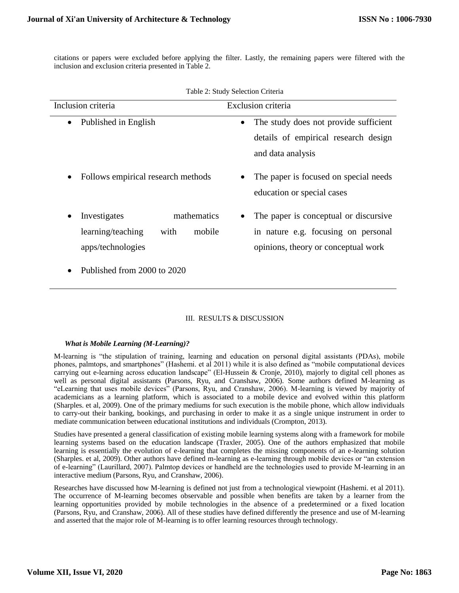citations or papers were excluded before applying the filter. Lastly, the remaining papers were filtered with the inclusion and exclusion criteria presented in Table 2.

| raole 2. Blady Belection Criteria                                                       |                                                                                                                     |  |  |  |
|-----------------------------------------------------------------------------------------|---------------------------------------------------------------------------------------------------------------------|--|--|--|
| Inclusion criteria                                                                      | Exclusion criteria                                                                                                  |  |  |  |
| Published in English<br>$\bullet$                                                       | The study does not provide sufficient<br>$\bullet$<br>details of empirical research design<br>and data analysis     |  |  |  |
| Follows empirical research methods                                                      | The paper is focused on special needs<br>education or special cases                                                 |  |  |  |
| mathematics<br>Investigates<br>learning/teaching<br>with<br>mobile<br>apps/technologies | The paper is conceptual or discursive<br>in nature e.g. focusing on personal<br>opinions, theory or conceptual work |  |  |  |
| Published from 2000 to 2020                                                             |                                                                                                                     |  |  |  |

|  |  | Table 2: Study Selection Criteria |  |
|--|--|-----------------------------------|--|
|--|--|-----------------------------------|--|

# III. RESULTS & DISCUSSION

# *What is Mobile Learning (M-Learning)?*

M-learning is "the stipulation of training, learning and education on personal digital assistants (PDAs), mobile phones, palmtops, and smartphones" (Hashemi. et al 2011) while it is also defined as "mobile computational devices carrying out e-learning across education landscape" (El-Hussein & Cronje, 2010), majorly to digital cell phones as well as personal digital assistants (Parsons, Ryu, and Cranshaw, 2006). Some authors defined M-learning as "eLearning that uses mobile devices" (Parsons, Ryu, and Cranshaw, 2006). M-learning is viewed by majority of academicians as a learning platform, which is associated to a mobile device and evolved within this platform (Sharples. et al, 2009). One of the primary mediums for such execution is the mobile phone, which allow individuals to carry-out their banking, bookings, and purchasing in order to make it as a single unique instrument in order to mediate communication between educational institutions and individuals (Crompton, 2013).

Studies have presented a general classification of existing mobile learning systems along with a framework for mobile learning systems based on the education landscape (Traxler, 2005). One of the authors emphasized that mobile learning is essentially the evolution of e-learning that completes the missing components of an e-learning solution (Sharples. et al, 2009). Other authors have defined m-learning as e-learning through mobile devices or "an extension of e-learning" (Laurillard, 2007). Palmtop devices or handheld are the technologies used to provide M-learning in an interactive medium (Parsons, Ryu, and Cranshaw, 2006).

Researches have discussed how M-learning is defined not just from a technological viewpoint (Hashemi. et al 2011). The occurrence of M-learning becomes observable and possible when benefits are taken by a learner from the learning opportunities provided by mobile technologies in the absence of a predetermined or a fixed location (Parsons, Ryu, and Cranshaw, 2006). All of these studies have defined differently the presence and use of M-learning and asserted that the major role of M-learning is to offer learning resources through technology.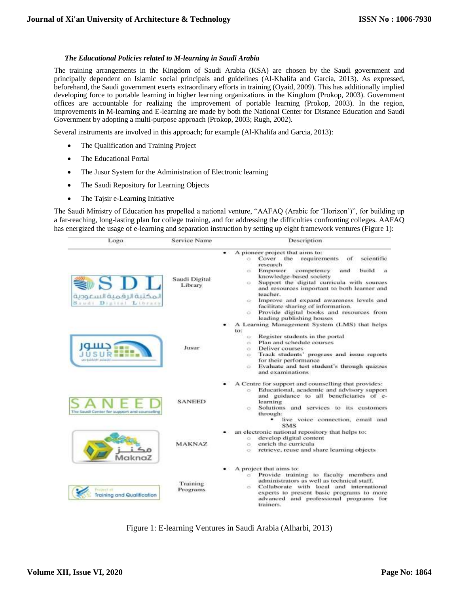## *The Educational Policies related to M-learning in Saudi Arabia*

The training arrangements in the Kingdom of Saudi Arabia (KSA) are chosen by the Saudi government and principally dependent on Islamic social principals and guidelines (Al-Khalifa and Garcia, 2013). As expressed, beforehand, the Saudi government exerts extraordinary efforts in training (Oyaid, 2009). This has additionally implied developing force to portable learning in higher learning organizations in the Kingdom (Prokop, 2003). Government offices are accountable for realizing the improvement of portable learning (Prokop, 2003). In the region, improvements in M-learning and E-learning are made by both the National Center for Distance Education and Saudi Government by adopting a multi-purpose approach (Prokop, 2003; Rugh, 2002).

Several instruments are involved in this approach; for example (Al-Khalifa and Garcia, 2013):

- The Qualification and Training Project
- The Educational Portal
- The Jusur System for the Administration of Electronic learning
- The Saudi Repository for Learning Objects
- The Tajsir e-Learning Initiative

The Saudi Ministry of Education has propelled a national venture, "AAFAQ (Arabic for 'Horizon')", for building up a far-reaching, long-lasting plan for college training, and for addressing the difficulties confronting colleges. AAFAQ has energized the usage of e-learning and separation instruction by setting up eight framework ventures (Figure 1):

| Logo                                                     | <b>Service Name</b>      | Description                                                                                                                                                                                                                                                                                                                                                                                                                                                                                |  |
|----------------------------------------------------------|--------------------------|--------------------------------------------------------------------------------------------------------------------------------------------------------------------------------------------------------------------------------------------------------------------------------------------------------------------------------------------------------------------------------------------------------------------------------------------------------------------------------------------|--|
| SDL<br>المكتبة الرقمية السعودية<br>Saudi Digital Library | Saudi Digital<br>Library | A pioneer project that aims to:<br>Cover the<br>scientific<br>o.<br>requirements<br>of<br>research<br>Empower<br>competency<br>and<br>build<br>es:<br>knowledge-based society.<br>Support the digital curricula with sources<br>O.<br>and resources important to both learner and<br>teacher.<br>Improve and expand awareness levels and<br>ä.<br>facilitate sharing of information.<br>Provide digital books and resources from<br>$\overline{\mathrm{C}^2}$<br>leading publishing houses |  |
| حسەر                                                     | Jusur                    | A Learning Management System (LMS) that helps<br>to:<br>Register students in the portal<br>$\circ$<br>Plan and schedule courses<br>iS.<br>Deliver courses<br>o.<br>Track students' progress and issue reports<br>$\circ$<br>for their performance<br>Evaluate and test student's through quizzes<br>in.<br>and examinations                                                                                                                                                                |  |
| The Saudi Center for support and counseling              | <b>SANEED</b>            | A Centre for support and counselling that provides:<br>Educational, academic and advisory support<br>o.<br>and guidance to all beneficiaries of e-<br>learning<br>Solutions and services to its customers<br>o.<br>through:<br>live voice connection, email and<br><b>SMS</b>                                                                                                                                                                                                              |  |
| MaknaZ                                                   | <b>MAKNAZ</b>            | an electronic national repository that helps to:<br>develop digital content<br>$\circ$<br>enrich the curricula<br>ö<br>retrieve, reuse and share learning objects<br>CC.                                                                                                                                                                                                                                                                                                                   |  |
| <b>TRIANGER</b><br>Training and Qualification            | Training<br>Programs.    | A project that aims to:<br>Provide training to faculty members and<br>o.<br>administrators as well as technical staff.<br>Collaborate with local and international<br>O.<br>experts to present basic programs to more<br>advanced and professional programs for<br>trainers.                                                                                                                                                                                                               |  |

Figure 1: E-learning Ventures in Saudi Arabia (Alharbi, 2013)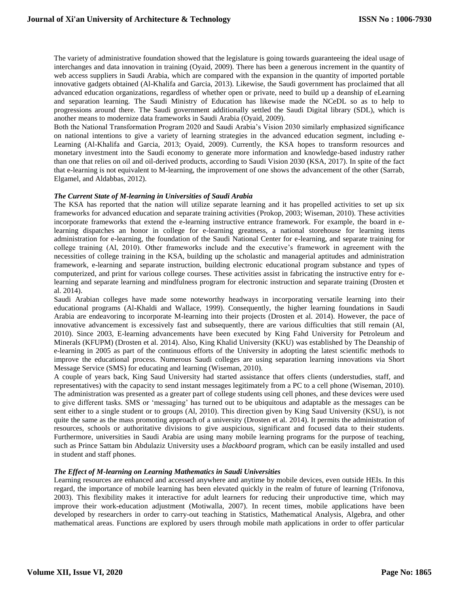The variety of administrative foundation showed that the legislature is going towards guaranteeing the ideal usage of interchanges and data innovation in training (Oyaid, 2009). There has been a generous increment in the quantity of web access suppliers in Saudi Arabia, which are compared with the expansion in the quantity of imported portable innovative gadgets obtained (Al-Khalifa and Garcia, 2013). Likewise, the Saudi government has proclaimed that all advanced education organizations, regardless of whether open or private, need to build up a deanship of eLearning and separation learning. The Saudi Ministry of Education has likewise made the NCeDL so as to help to progressions around there. The Saudi government additionally settled the Saudi Digital library (SDL), which is another means to modernize data frameworks in Saudi Arabia (Oyaid, 2009).

Both the National Transformation Program 2020 and Saudi Arabia's Vision 2030 similarly emphasized significance on national intentions to give a variety of learning strategies in the advanced education segment, including e-Learning (Al-Khalifa and Garcia, 2013; Oyaid, 2009). Currently, the KSA hopes to transform resources and monetary investment into the Saudi economy to generate more information and knowledge-based industry rather than one that relies on oil and oil-derived products, according to Saudi Vision 2030 (KSA, 2017). In spite of the fact that e-learning is not equivalent to M-learning, the improvement of one shows the advancement of the other (Sarrab, Elgamel, and Aldabbas, 2012).

## *The Current State of M-learning in Universities of Saudi Arabia*

The KSA has reported that the nation will utilize separate learning and it has propelled activities to set up six frameworks for advanced education and separate training activities (Prokop, 2003; Wiseman, 2010). These activities incorporate frameworks that extend the e-learning instructive entrance framework. For example, the board in elearning dispatches an honor in college for e-learning greatness, a national storehouse for learning items administration for e-learning, the foundation of the Saudi National Center for e-learning, and separate training for college training (Al, 2010). Other frameworks include and the executive's framework in agreement with the necessities of college training in the KSA, building up the scholastic and managerial aptitudes and administration framework, e-learning and separate instruction, building electronic educational program substance and types of computerized, and print for various college courses. These activities assist in fabricating the instructive entry for elearning and separate learning and mindfulness program for electronic instruction and separate training (Drosten et al. 2014).

Saudi Arabian colleges have made some noteworthy headways in incorporating versatile learning into their educational programs (Al-Khaldi and Wallace, 1999). Consequently, the higher learning foundations in Saudi Arabia are endeavoring to incorporate M-learning into their projects (Drosten et al. 2014). However, the pace of innovative advancement is excessively fast and subsequently, there are various difficulties that still remain (Al, 2010). Since 2003, E-learning advancements have been executed by King Fahd University for Petroleum and Minerals (KFUPM) (Drosten et al. 2014). Also, King Khalid University (KKU) was established by The Deanship of e-learning in 2005 as part of the continuous efforts of the University in adopting the latest scientific methods to improve the educational process. Numerous Saudi colleges are using separation learning innovations via Short Message Service (SMS) for educating and learning (Wiseman, 2010).

A couple of years back, King Saud University had started assistance that offers clients (understudies, staff, and representatives) with the capacity to send instant messages legitimately from a PC to a cell phone (Wiseman, 2010). The administration was presented as a greater part of college students using cell phones, and these devices were used to give different tasks. SMS or 'messaging' has turned out to be ubiquitous and adaptable as the messages can be sent either to a single student or to groups (Al, 2010). This direction given by King Saud University (KSU), is not quite the same as the mass promoting approach of a university (Drosten et al. 2014). It permits the administration of resources, schools or authoritative divisions to give auspicious, significant and focused data to their students. Furthermore, universities in Saudi Arabia are using many mobile learning programs for the purpose of teaching, such as Prince Sattam bin Abdulaziz University uses a *blackboard* program, which can be easily installed and used in student and staff phones.

## *The Effect of M-learning on Learning Mathematics in Saudi Universities*

Learning resources are enhanced and accessed anywhere and anytime by mobile devices, even outside HEIs. In this regard, the importance of mobile learning has been elevated quickly in the realm of future of learning (Trifonova, 2003). This flexibility makes it interactive for adult learners for reducing their unproductive time, which may improve their work-education adjustment (Motiwalla, 2007). In recent times, mobile applications have been developed by researchers in order to carry-out teaching in Statistics, Mathematical Analysis, Algebra, and other mathematical areas. Functions are explored by users through mobile math applications in order to offer particular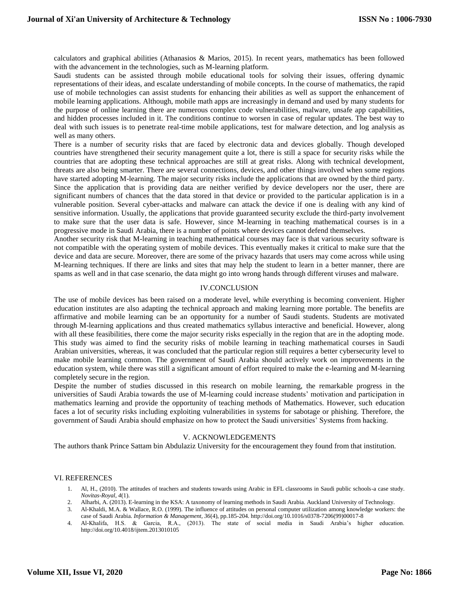calculators and graphical abilities (Athanasios & Marios, 2015). In recent years, mathematics has been followed with the advancement in the technologies, such as M-learning platform.

Saudi students can be assisted through mobile educational tools for solving their issues, offering dynamic representations of their ideas, and escalate understanding of mobile concepts. In the course of mathematics, the rapid use of mobile technologies can assist students for enhancing their abilities as well as support the enhancement of mobile learning applications. Although, mobile math apps are increasingly in demand and used by many students for the purpose of online learning there are numerous complex code vulnerabilities, malware, unsafe app capabilities, and hidden processes included in it. The conditions continue to worsen in case of regular updates. The best way to deal with such issues is to penetrate real-time mobile applications, test for malware detection, and log analysis as well as many others.

There is a number of security risks that are faced by electronic data and devices globally. Though developed countries have strengthened their security management quite a lot, there is still a space for security risks while the countries that are adopting these technical approaches are still at great risks. Along with technical development, threats are also being smarter. There are several connections, devices, and other things involved when some regions have started adopting M-learning. The major security risks include the applications that are owned by the third party. Since the application that is providing data are neither verified by device developers nor the user, there are significant numbers of chances that the data stored in that device or provided to the particular application is in a vulnerable position. Several cyber-attacks and malware can attack the device if one is dealing with any kind of sensitive information. Usually, the applications that provide guaranteed security exclude the third-party involvement to make sure that the user data is safe. However, since M-learning in teaching mathematical courses is in a progressive mode in Saudi Arabia, there is a number of points where devices cannot defend themselves.

Another security risk that M-learning in teaching mathematical courses may face is that various security software is not compatible with the operating system of mobile devices. This eventually makes it critical to make sure that the device and data are secure. Moreover, there are some of the privacy hazards that users may come across while using M-learning techniques. If there are links and sites that may help the student to learn in a better manner, there are spams as well and in that case scenario, the data might go into wrong hands through different viruses and malware.

#### IV.CONCLUSION

The use of mobile devices has been raised on a moderate level, while everything is becoming convenient. Higher education institutes are also adapting the technical approach and making learning more portable. The benefits are affirmative and mobile learning can be an opportunity for a number of Saudi students. Students are motivated through M-learning applications and thus created mathematics syllabus interactive and beneficial. However, along with all these feasibilities, there come the major security risks especially in the region that are in the adopting mode. This study was aimed to find the security risks of mobile learning in teaching mathematical courses in Saudi Arabian universities, whereas, it was concluded that the particular region still requires a better cybersecurity level to make mobile learning common. The government of Saudi Arabia should actively work on improvements in the education system, while there was still a significant amount of effort required to make the e-learning and M-learning completely secure in the region.

Despite the number of studies discussed in this research on mobile learning, the remarkable progress in the universities of Saudi Arabia towards the use of M-learning could increase students' motivation and participation in mathematics learning and provide the opportunity of teaching methods of Mathematics. However, such education faces a lot of security risks including exploiting vulnerabilities in systems for sabotage or phishing. Therefore, the government of Saudi Arabia should emphasize on how to protect the Saudi universities' Systems from hacking.

#### V. ACKNOWLEDGEMENTS

The authors thank Prince Sattam bin Abdulaziz University for the encouragement they found from that institution.

#### VI. REFERENCES

- 1. Al, H., (2010). The attitudes of teachers and students towards using Arabic in EFL classrooms in Saudi public schools-a case study. *Novitas-Royal, 4*(1).
- 2. Alharbi, A. (2013). E-learning in the KSA: A taxonomy of learning methods in Saudi Arabia. Auckland University of Technology.
- 3. Al-Khaldi, M.A. & Wallace, R.O. (1999). The influence of attitudes on personal computer utilization among knowledge workers: the case of Saudi Arabia. *Information & Management, 36*(4), pp.185-204. http://doi.org/10.1016/s0378-7206(99)00017-8
- 4. Al-Khalifa, H.S. & Garcia, R.A., (2013). The state of social media in Saudi Arabia's higher education. http://doi.org/10.4018/ijtem.2013010105